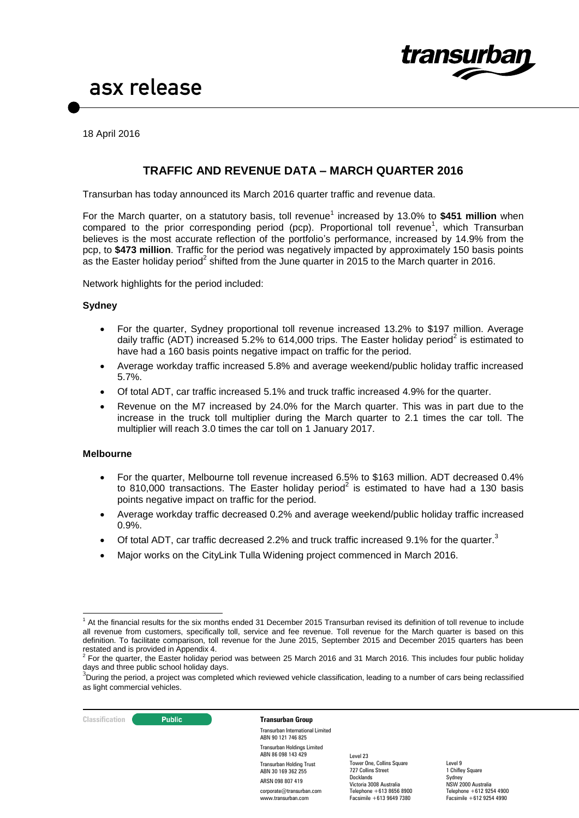

18 April 2016

### **TRAFFIC AND REVENUE DATA – MARCH QUARTER 2016**

Transurban has today announced its March 2016 quarter traffic and revenue data.

For the March quarter, on a statutory basis, toll revenue<sup>1</sup> increased by 13.0% to \$451 million when compared to the prior corresponding period (pcp). Proportional toll revenue<sup>1</sup>, which Transurban believes is the most accurate reflection of the portfolio's performance, increased by 14.9% from the pcp, to **\$473 million**. Traffic for the period was negatively impacted by approximately 150 basis points as the Easter holiday period<sup>2</sup> shifted from the June quarter in 2015 to the March quarter in 2016.

Network highlights for the period included:

### **Sydney**

- For the quarter, Sydney proportional toll revenue increased 13.2% to \$197 million. Average daily traffic (ADT) increased 5.2% to 614,000 trips. The Easter holiday period<sup>2</sup> is estimated to have had a 160 basis points negative impact on traffic for the period.
- Average workday traffic increased 5.8% and average weekend/public holiday traffic increased 5.7%.
- Of total ADT, car traffic increased 5.1% and truck traffic increased 4.9% for the quarter.
- Revenue on the M7 increased by 24.0% for the March quarter. This was in part due to the increase in the truck toll multiplier during the March quarter to 2.1 times the car toll. The multiplier will reach 3.0 times the car toll on 1 January 2017.

### **Melbourne**

- For the quarter, Melbourne toll revenue increased 6.5% to \$163 million. ADT decreased 0.4% to 810,000 transactions. The Easter holiday period<sup>2</sup> is estimated to have had a 130 basis points negative impact on traffic for the period.
- Average workday traffic decreased 0.2% and average weekend/public holiday traffic increased 0.9%.
- $\bullet$  Of total ADT, car traffic decreased 2.2% and truck traffic increased 9.1% for the quarter.<sup>3</sup>
- Major works on the CityLink Tulla Widening project commenced in March 2016.

**Classification C Public Transurban Group** 

Transurban International Limited ABN 90 121 746 825 Transurban Holdings Limited ABN 86 098 143 429 Transurban Holding Trust ABN 30 169 362 255 ARSN 098 807 419 corporate@transurban.com www.transurban.com

Level 23 Tower One, Collins Square 727 Collins Street Docklands Victoria 3008 Australia Telephone +613 8656 8900 Facsimile +613 9649 7380

<sup>&</sup>lt;u>.</u>  $1$  At the financial results for the six months ended 31 December 2015 Transurban revised its definition of toll revenue to include all revenue from customers, specifically toll, service and fee revenue. Toll revenue for the March quarter is based on this definition. To facilitate comparison, toll revenue for the June 2015, September 2015 and December 2015 quarters has been restated and is provided in Appendix 4.<br><sup>2</sup> For the quarter, the Easter holiday period was between 25 March 2016 and 31 March 2016. This includes four public holiday

days and three public school holiday days.

<sup>&</sup>lt;sup>3</sup>During the period, a project was completed which reviewed vehicle classification, leading to a number of cars being reclassified as light commercial vehicles.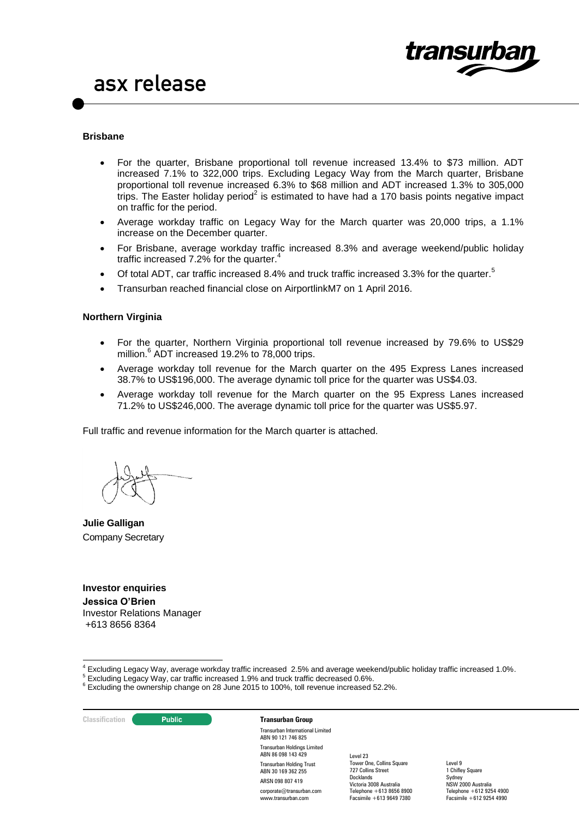

#### **Brisbane**

- For the quarter, Brisbane proportional toll revenue increased 13.4% to \$73 million. ADT increased 7.1% to 322,000 trips. Excluding Legacy Way from the March quarter, Brisbane proportional toll revenue increased 6.3% to \$68 million and ADT increased 1.3% to 305,000 trips. The Easter holiday period<sup>2</sup> is estimated to have had a 170 basis points negative impact on traffic for the period.
- Average workday traffic on Legacy Way for the March quarter was 20,000 trips, a 1.1% increase on the December quarter.
- For Brisbane, average workday traffic increased 8.3% and average weekend/public holiday traffic increased 7.2% for the quarter.<sup>4</sup>
- $\bullet$  Of total ADT, car traffic increased 8.4% and truck traffic increased 3.3% for the quarter.<sup>5</sup>
- Transurban reached financial close on AirportlinkM7 on 1 April 2016.

### **Northern Virginia**

- For the quarter, Northern Virginia proportional toll revenue increased by 79.6% to US\$29 million. 6 ADT increased 19.2% to 78,000 trips.
- Average workday toll revenue for the March quarter on the 495 Express Lanes increased 38.7% to US\$196,000. The average dynamic toll price for the quarter was US\$4.03.
- Average workday toll revenue for the March quarter on the 95 Express Lanes increased 71.2% to US\$246,000. The average dynamic toll price for the quarter was US\$5.97.

Full traffic and revenue information for the March quarter is attached.

**Julie Galligan** Company Secretary

### **Investor enquiries**

**Jessica O'Brien**  Investor Relations Manager +613 8656 8364

**Classification C Public Transurban Group** 

-

Transurban International Limited ABN 90 121 746 825 Transurban Holdings Limited ABN 86 098 143 429 Transurban Holding Trust ABN 30 169 362 255 ARSN 098 807 419 corporate@transurban.com www.transurban.com

Level 23 Tower One, Collins Square 727 Collins Street Docklands Victoria 3008 Australia Telephone +613 8656 8900 Facsimile +613 9649 7380

 $^4$  Excluding Legacy Way, average workday traffic increased 2.5% and average weekend/public holiday traffic increased 1.0%.

<sup>5</sup> Excluding Legacy Way, car traffic increased 1.9% and truck traffic decreased 0.6%.

<sup>&</sup>lt;sup>6</sup> Excluding the ownership change on 28 June 2015 to 100%, toll revenue increased 52.2%.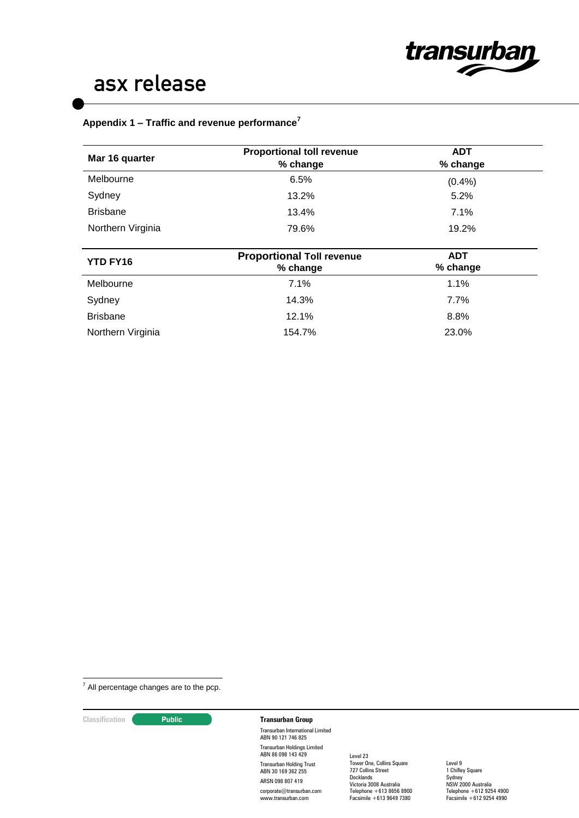

### **Appendix 1 – Traffic and revenue performance<sup>7</sup>**

| Mar 16 quarter    | <b>Proportional toll revenue</b><br>% change | <b>ADT</b><br>% change |  |
|-------------------|----------------------------------------------|------------------------|--|
| Melbourne         | 6.5%                                         | (0.4% )                |  |
| Sydney            | 13.2%                                        | 5.2%                   |  |
| <b>Brisbane</b>   | 13.4%                                        | 7.1%                   |  |
| Northern Virginia | 79.6%                                        | 19.2%                  |  |
|                   |                                              |                        |  |
| YTD FY16          | <b>Proportional Toll revenue</b><br>% change | <b>ADT</b><br>% change |  |
| Melbourne         | 7.1%                                         | 1.1%                   |  |
|                   |                                              |                        |  |
| Sydney            | 14.3%                                        | 7.7%                   |  |
| <b>Brisbane</b>   | 12.1%                                        | 8.8%                   |  |

<u>.</u>  $<sup>7</sup>$  All percentage changes are to the pcp.</sup>

### **Classification Public <b>Transurban Group**

Transurban International Limited ABN 90 121 746 825 Transurban Holdings Limited ABN 86 098 143 429 Transurban Holding Trust ABN 30 169 362 255 ARSN 098 807 419 corporate@transurban.com www.transurban.com

Level 23 Tower One, Collins Square 727 Collins Street **Docklands** Victoria 3008 Australia Telephone +613 8656 8900 Facsimile +613 9649 7380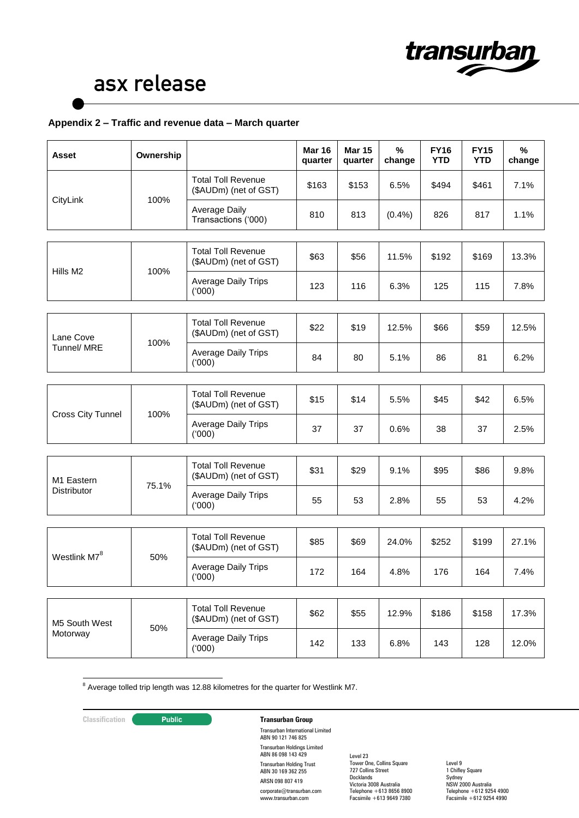

### **Appendix 2 – Traffic and revenue data – March quarter**

| <b>Asset</b>                     | Ownership |                                                    | <b>Mar 16</b><br>quarter | <b>Mar 15</b><br>quarter | $\%$<br>change | <b>FY16</b><br><b>YTD</b> | <b>FY15</b><br><b>YTD</b> | %<br>change |
|----------------------------------|-----------|----------------------------------------------------|--------------------------|--------------------------|----------------|---------------------------|---------------------------|-------------|
| CityLink                         | 100%      | <b>Total Toll Revenue</b><br>(\$AUDm) (net of GST) | \$163                    | \$153                    | 6.5%           | \$494                     | \$461                     | 7.1%        |
|                                  |           | Average Daily<br>Transactions ('000)               | 810                      | 813                      | (0.4%          | 826                       | 817                       | 1.1%        |
|                                  |           |                                                    |                          |                          |                |                           |                           |             |
|                                  |           | <b>Total Toll Revenue</b><br>(\$AUDm) (net of GST) | \$63                     | \$56                     | 11.5%          | \$192                     | \$169                     | 13.3%       |
| Hills M <sub>2</sub>             | 100%      | <b>Average Daily Trips</b><br>(000)                | 123                      | 116                      | 6.3%           | 125                       | 115                       | 7.8%        |
|                                  |           |                                                    |                          |                          |                |                           |                           |             |
| Lane Cove                        |           | <b>Total Toll Revenue</b><br>(\$AUDm) (net of GST) | \$22                     | \$19                     | 12.5%          | \$66                      | \$59                      | 12.5%       |
| Tunnel/ MRE                      | 100%      | Average Daily Trips<br>(000)                       | 84                       | 80                       | 5.1%           | 86                        | 81                        | 6.2%        |
|                                  |           |                                                    |                          |                          |                |                           |                           |             |
|                                  | 100%      | <b>Total Toll Revenue</b><br>(\$AUDm) (net of GST) | \$15                     | \$14                     | 5.5%           | \$45                      | \$42                      | 6.5%        |
| <b>Cross City Tunnel</b>         |           | Average Daily Trips<br>(000)                       | 37                       | 37                       | 0.6%           | 38                        | 37                        | 2.5%        |
|                                  |           |                                                    |                          |                          |                |                           |                           |             |
| M1 Eastern<br><b>Distributor</b> | 75.1%     | <b>Total Toll Revenue</b><br>(\$AUDm) (net of GST) | \$31                     | \$29                     | 9.1%           | \$95                      | \$86                      | 9.8%        |
|                                  |           | <b>Average Daily Trips</b><br>(000)                | 55                       | 53                       | 2.8%           | 55                        | 53                        | 4.2%        |
|                                  |           |                                                    |                          |                          |                |                           |                           |             |
|                                  | 50%       | <b>Total Toll Revenue</b><br>(\$AUDm) (net of GST) | \$85                     | \$69                     | 24.0%          | \$252                     | \$199                     | 27.1%       |
| Westlink M7 <sup>8</sup>         |           | <b>Average Daily Trips</b><br>(000)                | 172                      | 164                      | 4.8%           | 176                       | 164                       | 7.4%        |
|                                  |           |                                                    |                          |                          |                |                           |                           |             |
| M5 South West                    | 50%       | <b>Total Toll Revenue</b><br>(\$AUDm) (net of GST) | \$62                     | \$55                     | 12.9%          | \$186                     | \$158                     | 17.3%       |
| Motorway                         |           | Average Daily Trips<br>(000)                       | 142                      | 133                      | 6.8%           | 143                       | 128                       | 12.0%       |

<u>.</u>  $8$  Average tolled trip length was 12.88 kilometres for the quarter for Westlink M7.

### **Classification Public <b>Transurban Group**

Transurban International Limited ABN 90 121 746 825 Transurban Holdings Limited ABN 86 098 143 429 Transurban Holding Trust ABN 30 169 362 255 ARSN 098 807 419 corporate@transurban.com www.transurban.com

Level 23 Tower One, Collins Square 727 Collins Street **Docklands** Victoria 3008 Australia Telephone +613 8656 8900 Facsimile +613 9649 7380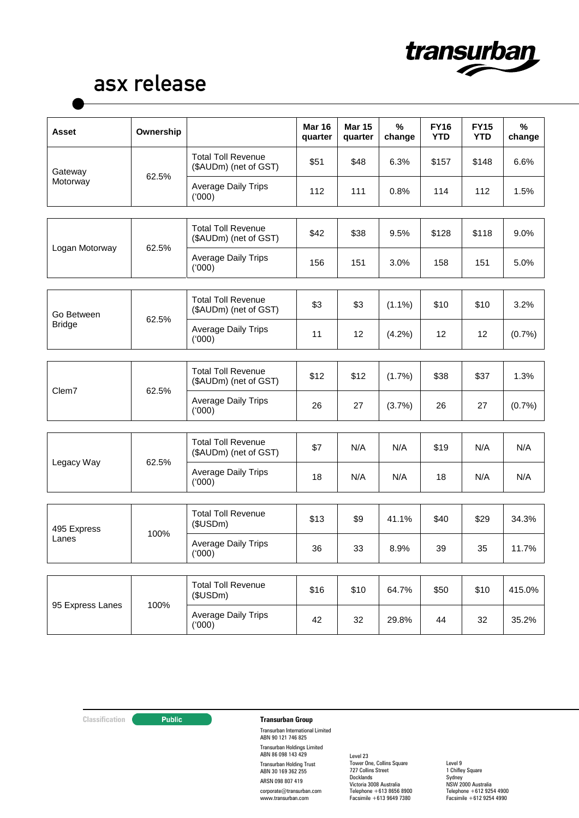

| Asset                | Ownership |                                                    | <b>Mar 16</b><br>quarter | <b>Mar 15</b><br>quarter | $\%$<br>change | <b>FY16</b><br><b>YTD</b> | <b>FY15</b><br><b>YTD</b> | %<br>change |
|----------------------|-----------|----------------------------------------------------|--------------------------|--------------------------|----------------|---------------------------|---------------------------|-------------|
| Gateway<br>Motorway  | 62.5%     | <b>Total Toll Revenue</b><br>(\$AUDm) (net of GST) | \$51                     | \$48                     | 6.3%           | \$157                     | \$148                     | 6.6%        |
|                      |           | <b>Average Daily Trips</b><br>(000)                | 112                      | 111                      | 0.8%           | 114                       | 112                       | 1.5%        |
|                      |           |                                                    |                          |                          |                |                           |                           |             |
| Logan Motorway       | 62.5%     | <b>Total Toll Revenue</b><br>(\$AUDm) (net of GST) | \$42                     | \$38                     | 9.5%           | \$128                     | \$118                     | 9.0%        |
|                      |           | <b>Average Daily Trips</b><br>(000)                | 156                      | 151                      | 3.0%           | 158                       | 151                       | 5.0%        |
|                      |           |                                                    |                          |                          |                |                           |                           |             |
| Go Between           | 62.5%     | <b>Total Toll Revenue</b><br>(\$AUDm) (net of GST) | \$3                      | \$3                      | $(1.1\%)$      | \$10                      | \$10                      | 3.2%        |
| <b>Bridge</b>        |           | <b>Average Daily Trips</b><br>(000)                | 11                       | 12                       | (4.2%)         | 12                        | 12                        | (0.7%       |
|                      |           |                                                    |                          |                          |                |                           |                           |             |
| Clem7                | 62.5%     | <b>Total Toll Revenue</b><br>(\$AUDm) (net of GST) | \$12                     | \$12                     | (1.7%)         | \$38                      | \$37                      | 1.3%        |
|                      |           | <b>Average Daily Trips</b><br>(000)                | 26                       | 27                       | (3.7%)         | 26                        | 27                        | (0.7%       |
|                      |           |                                                    |                          |                          |                |                           |                           |             |
| Legacy Way           | 62.5%     | <b>Total Toll Revenue</b><br>(\$AUDm) (net of GST) | \$7                      | N/A                      | N/A            | \$19                      | N/A                       | N/A         |
|                      |           | <b>Average Daily Trips</b><br>(000)                | 18                       | N/A                      | N/A            | 18                        | N/A                       | N/A         |
|                      |           |                                                    |                          |                          |                |                           |                           |             |
| 495 Express<br>Lanes | 100%      | <b>Total Toll Revenue</b><br>(\$USDm)              | \$13                     | \$9                      | 41.1%          | \$40                      | \$29                      | 34.3%       |
|                      |           | Average Daily Trips<br>(000)                       | 36                       | 33                       | 8.9%           | 39                        | 35                        | 11.7%       |
|                      |           |                                                    |                          |                          |                |                           |                           |             |
| 95 Express Lanes     | 100%      | <b>Total Toll Revenue</b><br>(\$USDm)              | \$16                     | \$10                     | 64.7%          | \$50                      | \$10                      | 415.0%      |
|                      |           | <b>Average Daily Trips</b><br>(000)                | 42                       | 32                       | 29.8%          | 44                        | 32                        | 35.2%       |

## **Classification Transurban Group**

Transurban International Limited ABN 90 121 746 825 Transurban Holdings Limited ABN 86 098 143 429 Transurban Holding Trust ABN 30 169 362 255 ARSN 098 807 419 corporate@transurban.com www.transurban.com

Level 23 Tower One, Collins Square 727 Collins Street **Docklands** Victoria 3008 Australia Telephone +613 8656 8900 Facsimile +613 9649 7380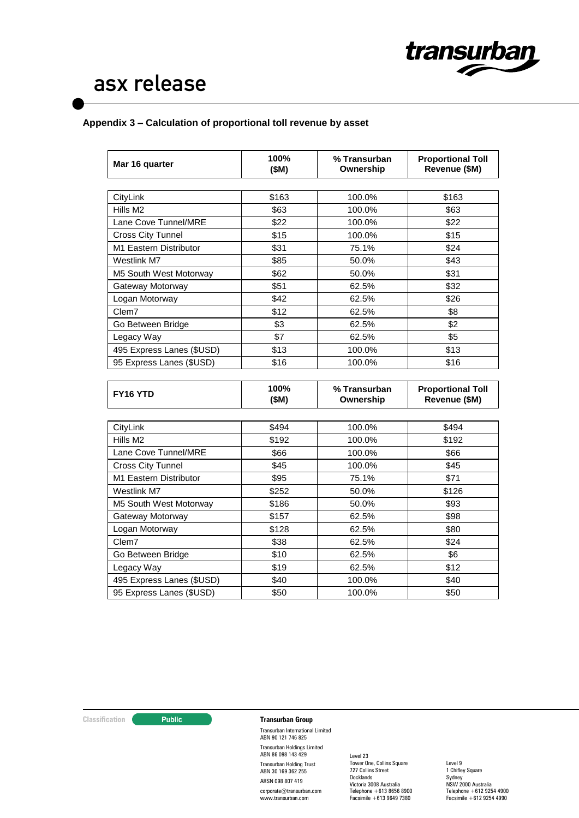

### **Appendix 3 – Calculation of proportional toll revenue by asset**

| Mar 16 quarter            | 100%<br>(\$M) | % Transurban<br>Ownership | <b>Proportional Toll</b><br>Revenue (\$M) |
|---------------------------|---------------|---------------------------|-------------------------------------------|
|                           |               |                           |                                           |
| CityLink                  | \$163         | 100.0%                    | \$163                                     |
| Hills M2                  | \$63          | 100.0%                    | \$63                                      |
| Lane Cove Tunnel/MRE      | \$22          | 100.0%                    | \$22                                      |
| <b>Cross City Tunnel</b>  | \$15          | 100.0%                    | \$15                                      |
| M1 Eastern Distributor    | \$31          | 75.1%                     | \$24                                      |
| Westlink M7               | \$85          | 50.0%                     | \$43                                      |
| M5 South West Motorway    | \$62          | 50.0%                     | \$31                                      |
| Gateway Motorway          | \$51          | 62.5%                     | \$32                                      |
| Logan Motorway            | \$42          | 62.5%                     | \$26                                      |
| Clem7                     | \$12          | 62.5%                     | \$8                                       |
| Go Between Bridge         | \$3           | 62.5%                     | \$2                                       |
| Legacy Way                | \$7           | 62.5%                     | \$5                                       |
| 495 Express Lanes (\$USD) | \$13          | 100.0%                    | \$13                                      |
| 95 Express Lanes (\$USD)  | \$16          | 100.0%                    | \$16                                      |

| CityLink                  | \$494 | 100.0% | \$494 |
|---------------------------|-------|--------|-------|
| Hills M <sub>2</sub>      | \$192 | 100.0% | \$192 |
| Lane Cove Tunnel/MRE      | \$66  | 100.0% | \$66  |
| <b>Cross City Tunnel</b>  | \$45  | 100.0% | \$45  |
| M1 Eastern Distributor    | \$95  | 75.1%  | \$71  |
| Westlink M7               | \$252 | 50.0%  | \$126 |
| M5 South West Motorway    | \$186 | 50.0%  | \$93  |
| Gateway Motorway          | \$157 | 62.5%  | \$98  |
| Logan Motorway            | \$128 | 62.5%  | \$80  |
| Clem7                     | \$38  | 62.5%  | \$24  |
| Go Between Bridge         | \$10  | 62.5%  | \$6   |
| Legacy Way                | \$19  | 62.5%  | \$12  |
| 495 Express Lanes (\$USD) | \$40  | 100.0% | \$40  |
| 95 Express Lanes (\$USD)  | \$50  | 100.0% | \$50  |

### **Classification Transurban Group**

Transurban International Limited ABN 90 121 746 825 Transurban Holdings Limited ABN 86 098 143 429 Transurban Holding Trust ABN 30 169 362 255 ARSN 098 807 419 corporate@transurban.com www.transurban.com

Level 23 Tower One, Collins Square 727 Collins Street **Docklands** Victoria 3008 Australia Telephone +613 8656 8900 Facsimile +613 9649 7380